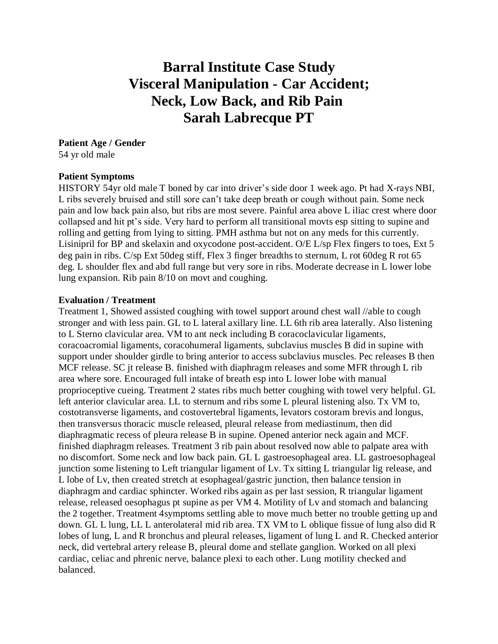# **Barral Institute Case Study Visceral Manipulation - Car Accident; Neck, Low Back, and Rib Pain Sarah Labrecque PT**

## **Patient Age / Gender**

54 yr old male

### **Patient Symptoms**

HISTORY 54yr old male T boned by car into driver's side door 1 week ago. Pt had X-rays NBI, L ribs severely bruised and still sore can't take deep breath or cough without pain. Some neck pain and low back pain also, but ribs are most severe. Painful area above L iliac crest where door collapsed and hit pt's side. Very hard to perform all transitional movts esp sitting to supine and rolling and getting from lying to sitting. PMH asthma but not on any meds for this currently. Lisinipril for BP and skelaxin and oxycodone post-accident. O/E L/sp Flex fingers to toes, Ext 5 deg pain in ribs. C/sp Ext 50deg stiff, Flex 3 finger breadths to sternum, L rot 60deg R rot 65 deg. L shoulder flex and abd full range but very sore in ribs. Moderate decrease in L lower lobe lung expansion. Rib pain 8/10 on movt and coughing.

#### **Evaluation / Treatment**

Treatment 1, Showed assisted coughing with towel support around chest wall //able to cough stronger and with less pain. GL to L lateral axillary line. LL 6th rib area laterally. Also listening to L Sterno clavicular area. VM to ant neck including B coracoclavicular ligaments, coracoacromial ligaments, coracohumeral ligaments, subclavius muscles B did in supine with support under shoulder girdle to bring anterior to access subclavius muscles. Pec releases B then MCF release. SC jt release B. finished with diaphragm releases and some MFR through L rib area where sore. Encouraged full intake of breath esp into L lower lobe with manual proprioceptive cueing. Treatment 2 states ribs much better coughing with towel very helpful. GL left anterior clavicular area. LL to sternum and ribs some L pleural listening also. Tx VM to, costotransverse ligaments, and costovertebral ligaments, levators costoram brevis and longus, then transversus thoracic muscle released, pleural release from mediastinum, then did diaphragmatic recess of pleura release B in supine. Opened anterior neck again and MCF. finished diaphragm releases. Treatment 3 rib pain about resolved now able to palpate area with no discomfort. Some neck and low back pain. GL L gastroesophageal area. LL gastroesophageal junction some listening to Left triangular ligament of Lv. Tx sitting L triangular lig release, and L lobe of Lv, then created stretch at esophageal/gastric junction, then balance tension in diaphragm and cardiac sphincter. Worked ribs again as per last session, R triangular ligament release, released oesophagus pt supine as per VM 4. Motility of Lv and stomach and balancing the 2 together. Treatment 4symptoms settling able to move much better no trouble getting up and down. GL L lung, LL L anterolateral mid rib area. TX VM to L oblique fissue of lung also did R lobes of lung, L and R bronchus and pleural releases, ligament of lung L and R. Checked anterior neck, did vertebral artery release B, pleural dome and stellate ganglion. Worked on all plexi cardiac, celiac and phrenic nerve, balance plexi to each other. Lung motility checked and balanced.